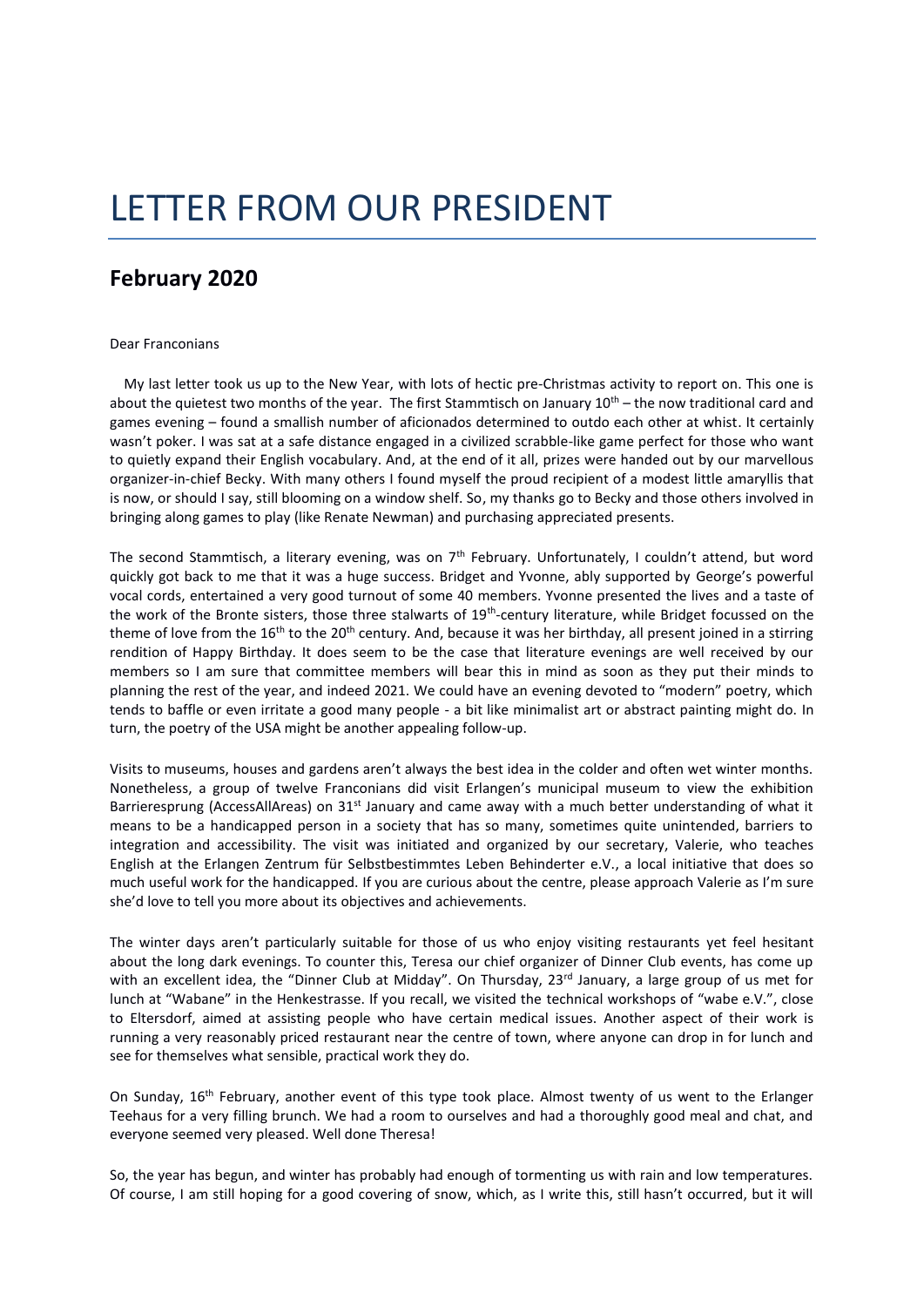## LETTER FROM OUR PRESIDENT

## **February 2020**

## Dear Franconians

 My last letter took us up to the New Year, with lots of hectic pre-Christmas activity to report on. This one is about the quietest two months of the year. The first Stammtisch on January  $10<sup>th</sup>$  – the now traditional card and games evening – found a smallish number of aficionados determined to outdo each other at whist. It certainly wasn't poker. I was sat at a safe distance engaged in a civilized scrabble-like game perfect for those who want to quietly expand their English vocabulary. And, at the end of it all, prizes were handed out by our marvellous organizer-in-chief Becky. With many others I found myself the proud recipient of a modest little amaryllis that is now, or should I say, still blooming on a window shelf. So, my thanks go to Becky and those others involved in bringing along games to play (like Renate Newman) and purchasing appreciated presents.

The second Stammtisch, a literary evening, was on  $7<sup>th</sup>$  February. Unfortunately, I couldn't attend, but word quickly got back to me that it was a huge success. Bridget and Yvonne, ably supported by George's powerful vocal cords, entertained a very good turnout of some 40 members. Yvonne presented the lives and a taste of the work of the Bronte sisters, those three stalwarts of 19<sup>th</sup>-century literature, while Bridget focussed on the theme of love from the  $16<sup>th</sup>$  to the  $20<sup>th</sup>$  century. And, because it was her birthday, all present joined in a stirring rendition of Happy Birthday. It does seem to be the case that literature evenings are well received by our members so I am sure that committee members will bear this in mind as soon as they put their minds to planning the rest of the year, and indeed 2021. We could have an evening devoted to "modern" poetry, which tends to baffle or even irritate a good many people - a bit like minimalist art or abstract painting might do. In turn, the poetry of the USA might be another appealing follow-up.

Visits to museums, houses and gardens aren't always the best idea in the colder and often wet winter months. Nonetheless, a group of twelve Franconians did visit Erlangen's municipal museum to view the exhibition Barrieresprung (AccessAllAreas) on 31<sup>st</sup> January and came away with a much better understanding of what it means to be a handicapped person in a society that has so many, sometimes quite unintended, barriers to integration and accessibility. The visit was initiated and organized by our secretary, Valerie, who teaches English at the Erlangen Zentrum für Selbstbestimmtes Leben Behinderter e.V., a local initiative that does so much useful work for the handicapped. If you are curious about the centre, please approach Valerie as I'm sure she'd love to tell you more about its objectives and achievements.

The winter days aren't particularly suitable for those of us who enjoy visiting restaurants yet feel hesitant about the long dark evenings. To counter this, Teresa our chief organizer of Dinner Club events, has come up with an excellent idea, the "Dinner Club at Midday". On Thursday, 23<sup>rd</sup> January, a large group of us met for lunch at "Wabane" in the Henkestrasse. If you recall, we visited the technical workshops of "wabe e.V.", close to Eltersdorf, aimed at assisting people who have certain medical issues. Another aspect of their work is running a very reasonably priced restaurant near the centre of town, where anyone can drop in for lunch and see for themselves what sensible, practical work they do.

On Sunday, 16<sup>th</sup> February, another event of this type took place. Almost twenty of us went to the Erlanger Teehaus for a very filling brunch. We had a room to ourselves and had a thoroughly good meal and chat, and everyone seemed very pleased. Well done Theresa!

So, the year has begun, and winter has probably had enough of tormenting us with rain and low temperatures. Of course, I am still hoping for a good covering of snow, which, as I write this, still hasn't occurred, but it will